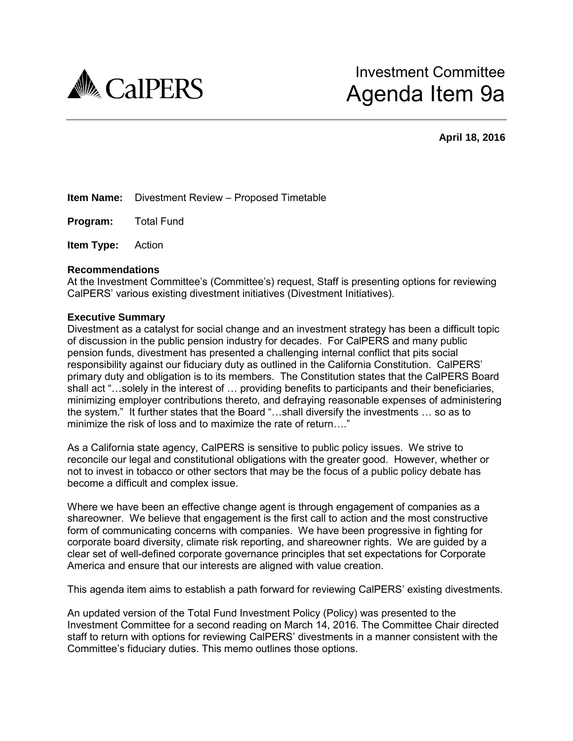

**April 18, 2016** 

**Item Name:** Divestment Review – Proposed Timetable

**Program:** Total Fund

**Item Type:** Action

#### **Recommendations**

At the Investment Committee's (Committee's) request, Staff is presenting options for reviewing CalPERS' various existing divestment initiatives (Divestment Initiatives).

#### **Executive Summary**

Divestment as a catalyst for social change and an investment strategy has been a difficult topic of discussion in the public pension industry for decades. For CalPERS and many public pension funds, divestment has presented a challenging internal conflict that pits social responsibility against our fiduciary duty as outlined in the California Constitution. CalPERS' primary duty and obligation is to its members. The Constitution states that the CalPERS Board shall act "…solely in the interest of … providing benefits to participants and their beneficiaries, minimizing employer contributions thereto, and defraying reasonable expenses of administering the system." It further states that the Board "…shall diversify the investments … so as to minimize the risk of loss and to maximize the rate of return…."

As a California state agency, CalPERS is sensitive to public policy issues. We strive to reconcile our legal and constitutional obligations with the greater good. However, whether or not to invest in tobacco or other sectors that may be the focus of a public policy debate has become a difficult and complex issue.

Where we have been an effective change agent is through engagement of companies as a shareowner. We believe that engagement is the first call to action and the most constructive form of communicating concerns with companies. We have been progressive in fighting for corporate board diversity, climate risk reporting, and shareowner rights. We are guided by a clear set of well-defined corporate governance principles that set expectations for Corporate America and ensure that our interests are aligned with value creation.

This agenda item aims to establish a path forward for reviewing CalPERS' existing divestments.

An updated version of the Total Fund Investment Policy (Policy) was presented to the Investment Committee for a second reading on March 14, 2016. The Committee Chair directed staff to return with options for reviewing CalPERS' divestments in a manner consistent with the Committee's fiduciary duties. This memo outlines those options.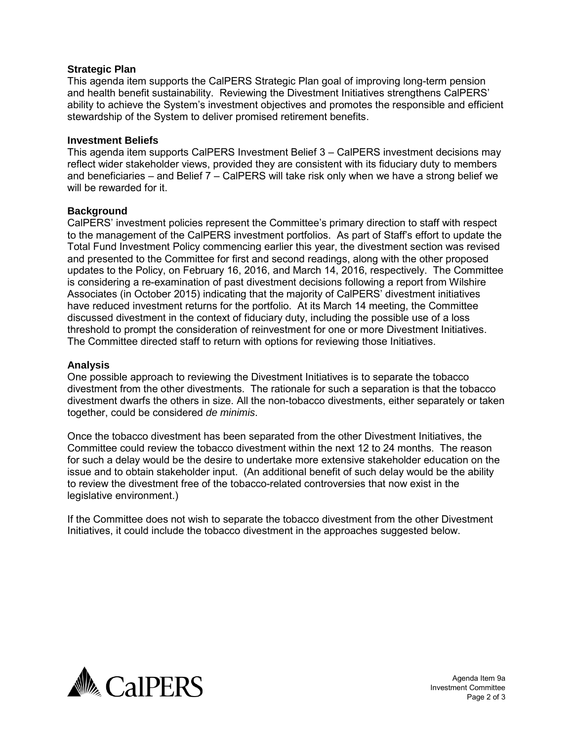# **Strategic Plan**

This agenda item supports the CalPERS Strategic Plan goal of improving long-term pension and health benefit sustainability. Reviewing the Divestment Initiatives strengthens CalPERS' ability to achieve the System's investment objectives and promotes the responsible and efficient stewardship of the System to deliver promised retirement benefits.

#### **Investment Beliefs**

This agenda item supports CalPERS Investment Belief 3 – CalPERS investment decisions may reflect wider stakeholder views, provided they are consistent with its fiduciary duty to members and beneficiaries – and Belief 7 – CalPERS will take risk only when we have a strong belief we will be rewarded for it.

# **Background**

CalPERS' investment policies represent the Committee's primary direction to staff with respect to the management of the CalPERS investment portfolios. As part of Staff's effort to update the Total Fund Investment Policy commencing earlier this year, the divestment section was revised and presented to the Committee for first and second readings, along with the other proposed updates to the Policy, on February 16, 2016, and March 14, 2016, respectively. The Committee is considering a re-examination of past divestment decisions following a report from Wilshire Associates (in October 2015) indicating that the majority of CalPERS' divestment initiatives have reduced investment returns for the portfolio. At its March 14 meeting, the Committee discussed divestment in the context of fiduciary duty, including the possible use of a loss threshold to prompt the consideration of reinvestment for one or more Divestment Initiatives. The Committee directed staff to return with options for reviewing those Initiatives.

# **Analysis**

One possible approach to reviewing the Divestment Initiatives is to separate the tobacco divestment from the other divestments. The rationale for such a separation is that the tobacco divestment dwarfs the others in size. All the non-tobacco divestments, either separately or taken together, could be considered *de minimis*.

Once the tobacco divestment has been separated from the other Divestment Initiatives, the Committee could review the tobacco divestment within the next 12 to 24 months. The reason for such a delay would be the desire to undertake more extensive stakeholder education on the issue and to obtain stakeholder input. (An additional benefit of such delay would be the ability to review the divestment free of the tobacco-related controversies that now exist in the legislative environment.)

If the Committee does not wish to separate the tobacco divestment from the other Divestment Initiatives, it could include the tobacco divestment in the approaches suggested below.



Agenda Item 9a Investment Committee Page 2 of 3